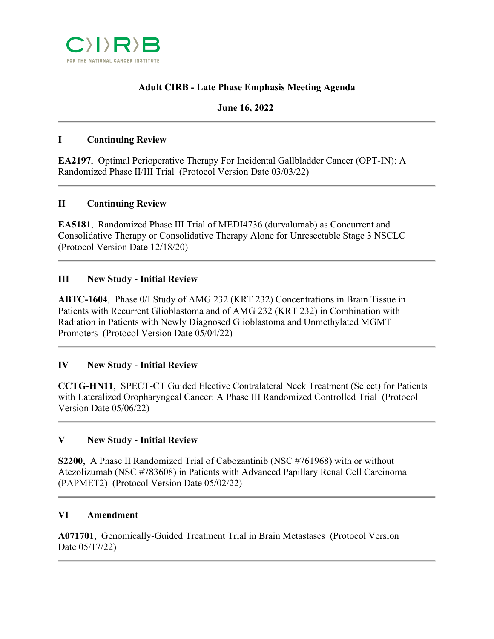

# **Adult CIRB - Late Phase Emphasis Meeting Agenda**

#### **June 16, 2022**

#### **I Continuing Review**

**EA2197**, Optimal Perioperative Therapy For Incidental Gallbladder Cancer (OPT-IN): A Randomized Phase II/III Trial (Protocol Version Date 03/03/22)

#### **II Continuing Review**

**EA5181**, Randomized Phase III Trial of MEDI4736 (durvalumab) as Concurrent and Consolidative Therapy or Consolidative Therapy Alone for Unresectable Stage 3 NSCLC (Protocol Version Date 12/18/20)

#### **III New Study - Initial Review**

**ABTC-1604**, Phase 0/I Study of AMG 232 (KRT 232) Concentrations in Brain Tissue in Patients with Recurrent Glioblastoma and of AMG 232 (KRT 232) in Combination with Radiation in Patients with Newly Diagnosed Glioblastoma and Unmethylated MGMT Promoters (Protocol Version Date 05/04/22)

## **IV New Study - Initial Review**

**CCTG-HN11**, SPECT-CT Guided Elective Contralateral Neck Treatment (Select) for Patients with Lateralized Oropharyngeal Cancer: A Phase III Randomized Controlled Trial (Protocol Version Date 05/06/22)

## **V New Study - Initial Review**

**S2200**, A Phase II Randomized Trial of Cabozantinib (NSC #761968) with or without Atezolizumab (NSC #783608) in Patients with Advanced Papillary Renal Cell Carcinoma (PAPMET2) (Protocol Version Date 05/02/22)

#### **VI Amendment**

**A071701**, Genomically-Guided Treatment Trial in Brain Metastases (Protocol Version Date 05/17/22)